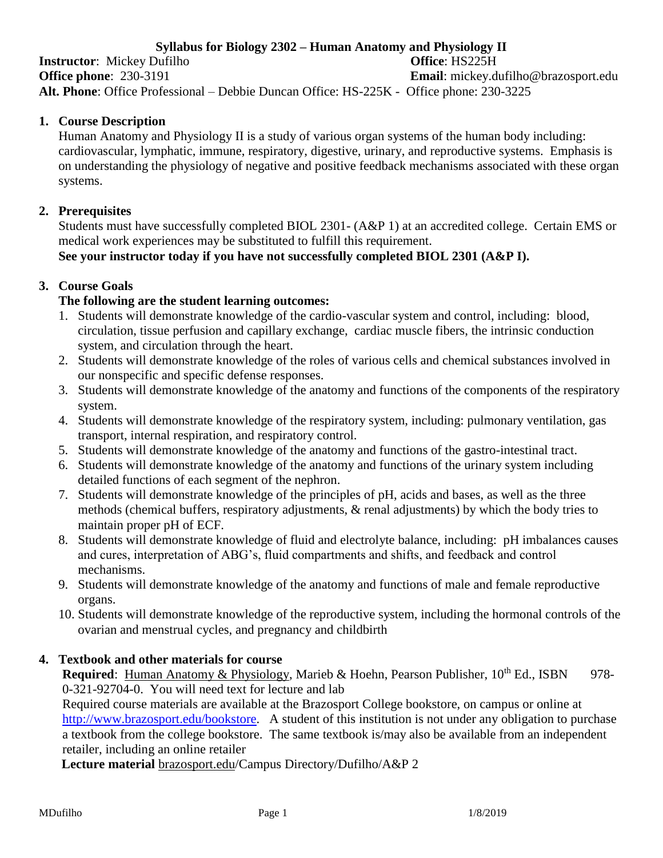## **Syllabus for Biology 2302 – Human Anatomy and Physiology II**

**Instructor**: Mickey Dufilho **Office**: HS225H **Office phone**: 230-3191 **Email**: mickey.dufilho@brazosport.edu **Alt. Phone**: Office Professional – Debbie Duncan Office: HS-225K - Office phone: 230-3225

### **1. Course Description**

Human Anatomy and Physiology II is a study of various organ systems of the human body including: cardiovascular, lymphatic, immune, respiratory, digestive, urinary, and reproductive systems. Emphasis is on understanding the physiology of negative and positive feedback mechanisms associated with these organ systems.

#### **2. Prerequisites**

Students must have successfully completed BIOL 2301- (A&P 1) at an accredited college. Certain EMS or medical work experiences may be substituted to fulfill this requirement. **See your instructor today if you have not successfully completed BIOL 2301 (A&P I).**

#### **3. Course Goals**

## **The following are the student learning outcomes:**

- 1. Students will demonstrate knowledge of the cardio-vascular system and control, including: blood, circulation, tissue perfusion and capillary exchange, cardiac muscle fibers, the intrinsic conduction system, and circulation through the heart.
- 2. Students will demonstrate knowledge of the roles of various cells and chemical substances involved in our nonspecific and specific defense responses.
- 3. Students will demonstrate knowledge of the anatomy and functions of the components of the respiratory system.
- 4. Students will demonstrate knowledge of the respiratory system, including: pulmonary ventilation, gas transport, internal respiration, and respiratory control.
- 5. Students will demonstrate knowledge of the anatomy and functions of the gastro-intestinal tract.
- 6. Students will demonstrate knowledge of the anatomy and functions of the urinary system including detailed functions of each segment of the nephron.
- 7. Students will demonstrate knowledge of the principles of pH, acids and bases, as well as the three methods (chemical buffers, respiratory adjustments, & renal adjustments) by which the body tries to maintain proper pH of ECF.
- 8. Students will demonstrate knowledge of fluid and electrolyte balance, including: pH imbalances causes and cures, interpretation of ABG's, fluid compartments and shifts, and feedback and control mechanisms.
- 9. Students will demonstrate knowledge of the anatomy and functions of male and female reproductive organs.
- 10. Students will demonstrate knowledge of the reproductive system, including the hormonal controls of the ovarian and menstrual cycles, and pregnancy and childbirth

#### **4. Textbook and other materials for course**

**Required:** Human Anatomy & Physiology, Marieb & Hoehn, Pearson Publisher, 10<sup>th</sup> Ed., ISBN 978-0-321-92704-0. You will need text for lecture and lab

Required course materials are available at the Brazosport College bookstore, on campus or online at [http://www.brazosport.edu/bookstore.](http://www.brazosport.edu/bookstore) A student of this institution is not under any obligation to purchase a textbook from the college bookstore. The same textbook is/may also be available from an independent retailer, including an online retailer

 **Lecture material** brazosport.edu/Campus Directory/Dufilho/A&P 2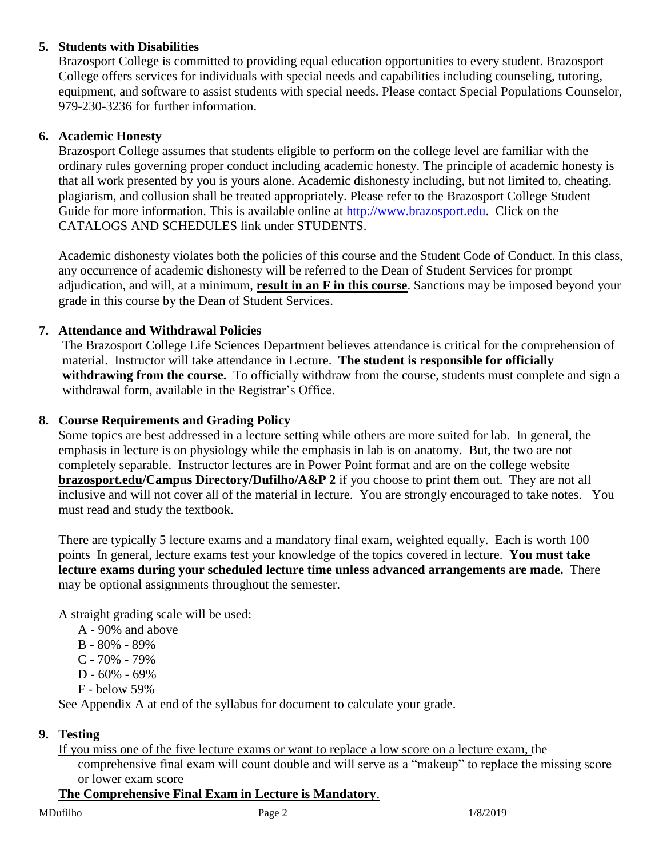## **5. Students with Disabilities**

Brazosport College is committed to providing equal education opportunities to every student. Brazosport College offers services for individuals with special needs and capabilities including counseling, tutoring, equipment, and software to assist students with special needs. Please contact Special Populations Counselor, 979-230-3236 for further information.

### **6. Academic Honesty**

Brazosport College assumes that students eligible to perform on the college level are familiar with the ordinary rules governing proper conduct including academic honesty. The principle of academic honesty is that all work presented by you is yours alone. Academic dishonesty including, but not limited to, cheating, plagiarism, and collusion shall be treated appropriately. Please refer to the Brazosport College Student Guide for more information. This is available online at [http://www.brazosport.edu.](http://www.brazosport.edu/) Click on the CATALOGS AND SCHEDULES link under STUDENTS.

Academic dishonesty violates both the policies of this course and the Student Code of Conduct. In this class, any occurrence of academic dishonesty will be referred to the Dean of Student Services for prompt adjudication, and will, at a minimum, **result in an F in this course**. Sanctions may be imposed beyond your grade in this course by the Dean of Student Services.

## **7. Attendance and Withdrawal Policies**

The Brazosport College Life Sciences Department believes attendance is critical for the comprehension of material. Instructor will take attendance in Lecture. **The student is responsible for officially withdrawing from the course.** To officially withdraw from the course, students must complete and sign a withdrawal form, available in the Registrar's Office.

#### **8. Course Requirements and Grading Policy**

Some topics are best addressed in a lecture setting while others are more suited for lab. In general, the emphasis in lecture is on physiology while the emphasis in lab is on anatomy. But, the two are not completely separable. Instructor lectures are in Power Point format and are on the college website **brazosport.edu/Campus Directory/Dufilho/A&P 2** if you choose to print them out. They are not all inclusive and will not cover all of the material in lecture. You are strongly encouraged to take notes. You must read and study the textbook.

There are typically 5 lecture exams and a mandatory final exam, weighted equally. Each is worth 100 points In general, lecture exams test your knowledge of the topics covered in lecture. **You must take lecture exams during your scheduled lecture time unless advanced arrangements are made.** There may be optional assignments throughout the semester.

A straight grading scale will be used:

- A 90% and above
- B 80% 89%
- C 70% 79%
- D 60% 69%
- F below 59%

See Appendix A at end of the syllabus for document to calculate your grade.

#### **9. Testing**

If you miss one of the five lecture exams or want to replace a low score on a lecture exam, the comprehensive final exam will count double and will serve as a "makeup" to replace the missing score or lower exam score

## **The Comprehensive Final Exam in Lecture is Mandatory**.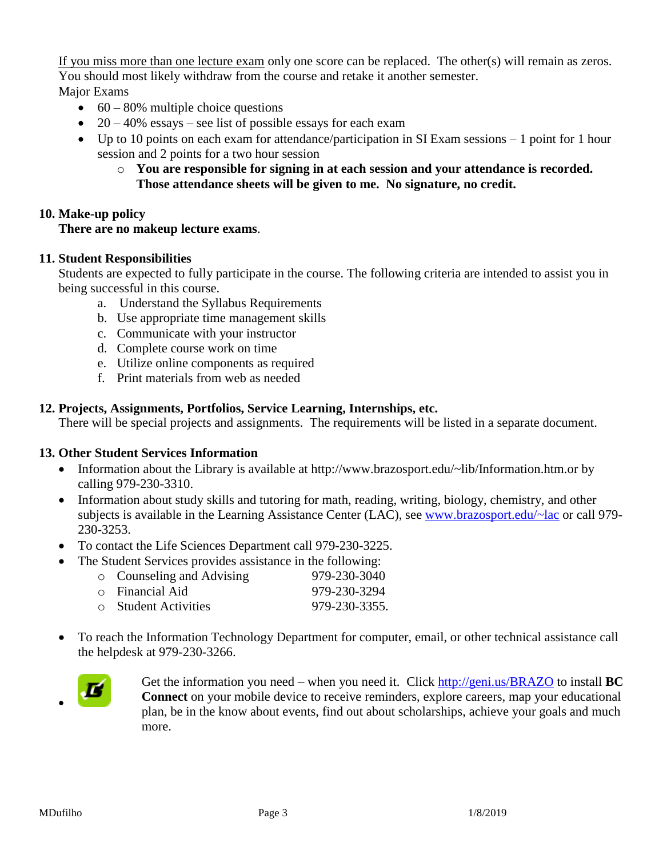If you miss more than one lecture exam only one score can be replaced. The other(s) will remain as zeros. You should most likely withdraw from the course and retake it another semester.

Major Exams

- $\cdot$  60 80% multiple choice questions
- $\bullet$  20 40% essays see list of possible essays for each exam
- Up to 10 points on each exam for attendance/participation in SI Exam sessions 1 point for 1 hour session and 2 points for a two hour session
	- o **You are responsible for signing in at each session and your attendance is recorded. Those attendance sheets will be given to me. No signature, no credit.**

## **10. Make-up policy**

#### **There are no makeup lecture exams**.

#### **11. Student Responsibilities**

Students are expected to fully participate in the course. The following criteria are intended to assist you in being successful in this course.

- a. Understand the Syllabus Requirements
- b. Use appropriate time management skills
- c. Communicate with your instructor
- d. Complete course work on time
- e. Utilize online components as required
- f. Print materials from web as needed

## **12. Projects, Assignments, Portfolios, Service Learning, Internships, etc.**

There will be special projects and assignments. The requirements will be listed in a separate document.

#### **13. Other Student Services Information**

- Information about the Library is available at http://www.brazosport.edu/~lib/Information.htm.or by calling 979-230-3310.
- Information about study skills and tutoring for math, reading, writing, biology, chemistry, and other subjects is available in the Learning Assistance Center (LAC), see [www.brazosport.edu/~lac](http://www.brazosport.edu/~lac) or call 979- 230-3253.
- To contact the Life Sciences Department call 979-230-3225.
	- The Student Services provides assistance in the following:

| • Counseling and Advising | 979-230-3040  |
|---------------------------|---------------|
| ○ Financial Aid           | 979-230-3294  |
| <b>Student Activities</b> | 979-230-3355. |

 To reach the Information Technology Department for computer, email, or other technical assistance call the helpdesk at 979-230-3266.



Get the information you need – when you need it. Click<http://geni.us/BRAZO> to install **BC Connect** on your mobile device to receive reminders, explore careers, map your educational plan, be in the know about events, find out about scholarships, achieve your goals and much more.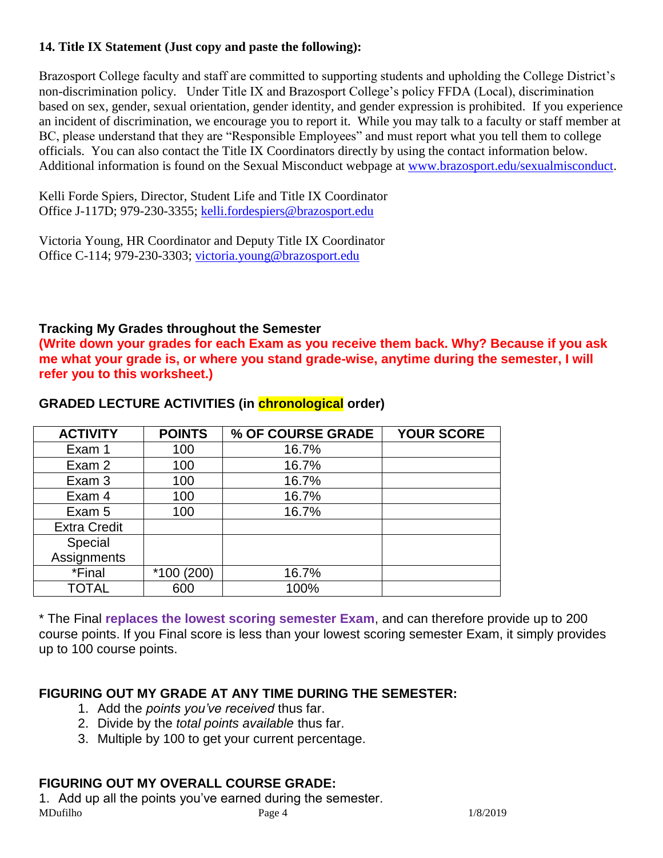## **14. Title IX Statement (Just copy and paste the following):**

Brazosport College faculty and staff are committed to supporting students and upholding the College District's non-discrimination policy. Under Title IX and Brazosport College's policy FFDA (Local), discrimination based on sex, gender, sexual orientation, gender identity, and gender expression is prohibited. If you experience an incident of discrimination, we encourage you to report it. While you may talk to a faculty or staff member at BC, please understand that they are "Responsible Employees" and must report what you tell them to college officials. You can also contact the Title IX Coordinators directly by using the contact information below. Additional information is found on the Sexual Misconduct webpage at [www.brazosport.edu/sexualmisconduct.](http://www.brazosport.edu/sexualmisconduct)

Kelli Forde Spiers, Director, Student Life and Title IX Coordinator Office J-117D; 979-230-3355; [kelli.fordespiers@brazosport.edu](mailto:kelli.forde@brazosport.edu)

Victoria Young, HR Coordinator and Deputy Title IX Coordinator Office C-114; 979-230-3303; [victoria.young@brazosport.edu](mailto:kelli.forde@brazosport.edu)

## **Tracking My Grades throughout the Semester**

**(Write down your grades for each Exam as you receive them back. Why? Because if you ask me what your grade is, or where you stand grade-wise, anytime during the semester, I will refer you to this worksheet.)**

| <b>ACTIVITY</b>     | <b>POINTS</b> | % OF COURSE GRADE | <b>YOUR SCORE</b> |
|---------------------|---------------|-------------------|-------------------|
| Exam 1              | 100           | 16.7%             |                   |
| Exam 2              | 100           | 16.7%             |                   |
| Exam 3              | 100           | 16.7%             |                   |
| Exam 4              | 100           | 16.7%             |                   |
| Exam 5              | 100           | 16.7%             |                   |
| <b>Extra Credit</b> |               |                   |                   |
| Special             |               |                   |                   |
| Assignments         |               |                   |                   |
| *Final              | $*100(200)$   | 16.7%             |                   |
| TOTAL               | 600           | 100%              |                   |

## **GRADED LECTURE ACTIVITIES (in chronological order)**

\* The Final **replaces the lowest scoring semester Exam**, and can therefore provide up to 200 course points. If you Final score is less than your lowest scoring semester Exam, it simply provides up to 100 course points.

## **FIGURING OUT MY GRADE AT ANY TIME DURING THE SEMESTER:**

- 1. Add the *points you've received* thus far.
- 2. Divide by the *total points available* thus far.
- 3. Multiple by 100 to get your current percentage.

# **FIGURING OUT MY OVERALL COURSE GRADE:**

MDufilho **Page 4** 1/8/2019 1. Add up all the points you've earned during the semester.